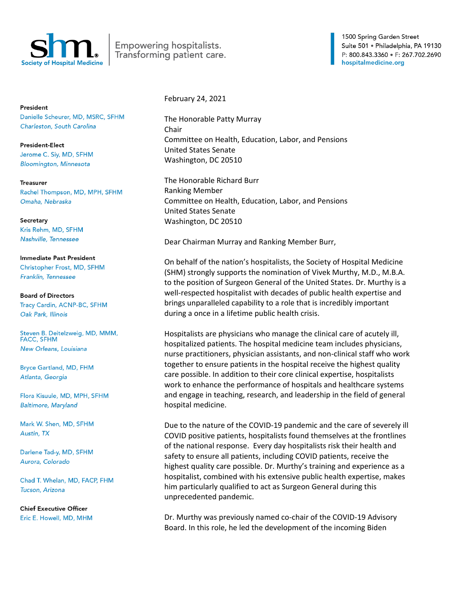

Empowering hospitalists. Transforming patient care. 1500 Spring Garden Street Suite 501 · Philadelphia, PA 19130 P: 800.843.3360 · F: 267.702.2690 hospitalmedicine.org

President Danielle Scheurer, MD, MSRC, SFHM Charleston, South Carolina

**President-Elect** Jerome C. Siy, MD, SFHM **Bloomington, Minnesota** 

**Treasurer** Rachel Thompson, MD, MPH, SFHM Omaha, Nebraska

Secretary Kris Rehm, MD, SFHM Nashville, Tennessee

Immediate Past President Christopher Frost, MD, SFHM Franklin, Tennessee

**Board of Directors** Tracy Cardin, ACNP-BC, SFHM Oak Park, Illinois

Steven B. Deitelzweig, MD, MMM, **FACC, SFHM** New Orleans, Louisiana

**Bryce Gartland, MD, FHM** Atlanta, Georgia

Flora Kisuule, MD, MPH, SFHM **Baltimore, Maryland** 

Mark W. Shen, MD, SFHM Austin, TX

Darlene Tad-y, MD, SFHM Aurora, Colorado

Chad T. Whelan, MD, FACP, FHM Tucson, Arizona

**Chief Executive Officer** Eric E. Howell, MD, MHM February 24, 2021

The Honorable Patty Murray Chair Committee on Health, Education, Labor, and Pensions United States Senate Washington, DC 20510

The Honorable Richard Burr Ranking Member Committee on Health, Education, Labor, and Pensions United States Senate Washington, DC 20510

Dear Chairman Murray and Ranking Member Burr,

On behalf of the nation's hospitalists, the Society of Hospital Medicine (SHM) strongly supports the nomination of Vivek Murthy, M.D., M.B.A. to the position of Surgeon General of the United States. Dr. Murthy is a well-respected hospitalist with decades of public health expertise and brings unparalleled capability to a role that is incredibly important during a once in a lifetime public health crisis.

Hospitalists are physicians who manage the clinical care of acutely ill, hospitalized patients. The hospital medicine team includes physicians, nurse practitioners, physician assistants, and non-clinical staff who work together to ensure patients in the hospital receive the highest quality care possible. In addition to their core clinical expertise, hospitalists work to enhance the performance of hospitals and healthcare systems and engage in teaching, research, and leadership in the field of general hospital medicine.

Due to the nature of the COVID-19 pandemic and the care of severely ill COVID positive patients, hospitalists found themselves at the frontlines of the national response. Every day hospitalists risk their health and safety to ensure all patients, including COVID patients, receive the highest quality care possible. Dr. Murthy's training and experience as a hospitalist, combined with his extensive public health expertise, makes him particularly qualified to act as Surgeon General during this unprecedented pandemic.

Dr. Murthy was previously named co-chair of the COVID-19 Advisory Board. In this role, he led the development of the incoming Biden